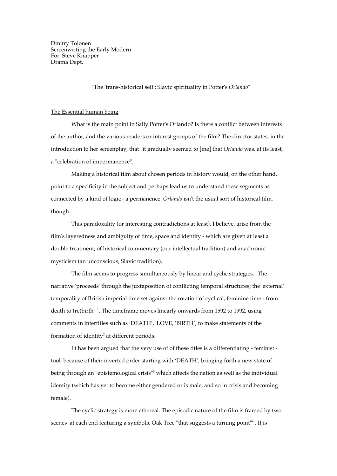Dmitry Tolonen Screenwriting the Early Modern For: Steve Knapper Drama Dept.

"The 'trans-historical self'; Slavic spirituality in Potter's *Orlando*"

## The Essential human being

What is the main point in Sally Potter's Orlando? Is there a conflict between interests of the author, and the various readers or interest groups of the film? The director states, in the introduction to her screenplay, that "it gradually seemed to [me] that *Orlando* was, at its least, a "celebration of impermanence".

Making a historical film about chosen periods in history would, on the other hand, point to a specificity in the subject and perhaps lead us to understand these segments as connected by a kind of logic - a permanence. *Orlando* isn't the usual sort of historical film, though.

This paradoxality (or interesting contradictions at least), I believe, arise from the film's layeredness and ambiguity of time, space and identity - which are given at least a double treatment; of historical commentary (our intellectual tradition) and anachronic mysticism (an unconscious, Slavic tradition).

The film seems to progress simultaneously by linear and cyclic strategies. "The narrative 'proceeds' through the juxtaposition of conflicting temporal structures; the 'external' temporality of British imperial time set against the rotation of cyclical, feminine time - from death to (re)birth"<sup>1</sup>. The timeframe moves linearly onwards from 1592 to 1992, using comments in intertitles such as 'DEATH', 'LOVE, 'BIRTH', to make statements of the formation of identity<sup>2</sup> at different periods.

I t has been argued that the very use of of these titles is a differentiating - feminist tool, because of their inverted order starting with 'DEATH', bringing forth a new state of being through an "epistemological crisis"<sup>3</sup> which affects the nation as well as the individual identity (which has yet to become either gendered or is male, and so in crisis and becoming female).

The cyclic strategy is more ethereal. The episodic nature of the film is framed by two scenes at each end featuring a symbolic Oak Tree "that suggests a turning point"<sup>4</sup>. It is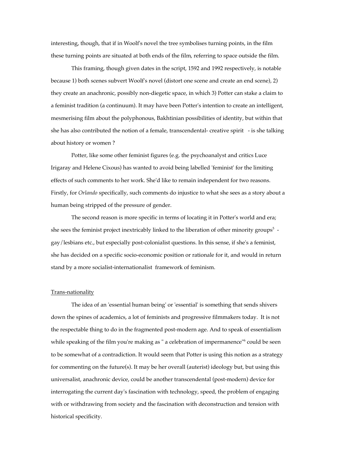interesting, though, that if in Woolf's novel the tree symbolises turning points, in the film these turning points are situated at both ends of the film, referring to space outside the film.

This framing, though given dates in the script, 1592 and 1992 respectively, is notable because 1) both scenes subvert Woolf's novel (distort one scene and create an end scene), 2) they create an anachronic, possibly non-diegetic space, in which 3) Potter can stake a claim to a feminist tradition (a continuum). It may have been Potter's intention to create an intelligent, mesmerising film about the polyphonous, Bakhtinian possibilities of identity, but within that she has also contributed the notion of a female, transcendental- creative spirit - is she talking about history or women ?

Potter, like some other feminist figures (e.g. the psychoanalyst and critics Luce Irigaray and Helene Cixous) has wanted to avoid being labelled 'feminist' for the limiting effects of such comments to her work. She'd like to remain independent for two reasons. Firstly, for *Orlando* specifically, such comments do injustice to what she sees as a story about a human being stripped of the pressure of gender.

The second reason is more specific in terms of locating it in Potter's world and era; she sees the feminist project inextricably linked to the liberation of other minority groups<sup>5</sup>  $$ gay/lesbians etc., but especially post-colonialist questions. In this sense, if she's a feminist, she has decided on a specific socio-economic position or rationale for it, and would in return stand by a more socialist-internationalist framework of feminism.

#### Trans-nationality

The idea of an 'essential human being' or 'essential' is something that sends shivers down the spines of academics, a lot of feminists and progressive filmmakers today. It is not the respectable thing to do in the fragmented post-modern age. And to speak of essentialism while speaking of the film you're making as " a celebration of impermanence"<sup>6</sup> could be seen to be somewhat of a contradiction. It would seem that Potter is using this notion as a strategy for commenting on the future(s). It may be her overall (auterist) ideology but, but using this universalist, anachronic device, could be another transcendental (post-modern) device for interrogating the current day's fascination with technology, speed, the problem of engaging with or withdrawing from society and the fascination with deconstruction and tension with historical specificity.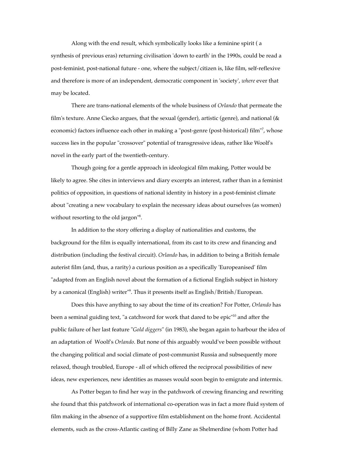Along with the end result, which symbolically looks like a feminine spirit ( a synthesis of previous eras) returning civilisation 'down to earth' in the 1990s, could be read a post-feminist, post-national future - one, where the subject/citizen is, like film, self-reflexive and therefore is more of an independent, democratic component in 'society', *where* ever that may be located.

There are trans-national elements of the whole business of *Orlando* that permeate the film's texture. Anne Ciecko argues, that the sexual (gender), artistic (genre), and national (& economic) factors influence each other in making a "post-genre (post-historical) film"<sup>7</sup>, whose success lies in the popular "crossover" potential of transgressive ideas, rather like Woolf's novel in the early part of the twentieth-century.

Though going for a gentle approach in ideological film making, Potter would be likely to agree. She cites in interviews and diary excerpts an interest, rather than in a feminist politics of opposition, in questions of national identity in history in a post-feminist climate about "creating a new vocabulary to explain the necessary ideas about ourselves (as women) without resorting to the old jargon"<sup>8</sup>.

In addition to the story offering a display of nationalities and customs, the background for the film is equally international, from its cast to its crew and financing and distribution (including the festival circuit). *Orlando* has, in addition to being a British female auterist film (and, thus, a rarity) a curious position as a specifically 'Europeanised' film "adapted from an English novel about the formation of a fictional English subject in history by a canonical (English) writer"9 . Thus it presents itself as English/British/European.

Does this have anything to say about the time of its creation? For Potter, *Orlando* has been a seminal guiding text, "a catchword for work that dared to be epic"<sup>10</sup> and after the public failure of her last feature "*Gold diggers*" (in 1983), she began again to harbour the idea of an adaptation of Woolf's *Orlando*. But none of this arguably would've been possible without the changing political and social climate of post-communist Russia and subsequently more relaxed, though troubled, Europe - all of which offered the reciprocal possibilities of new ideas, new experiences, new identities as masses would soon begin to emigrate and intermix.

As Potter began to find her way in the patchwork of crewing financing and rewriting she found that this patchwork of international co-operation was in fact a more fluid system of film making in the absence of a supportive film establishment on the home front. Accidental elements, such as the cross-Atlantic casting of Billy Zane as Shelmerdine (whom Potter had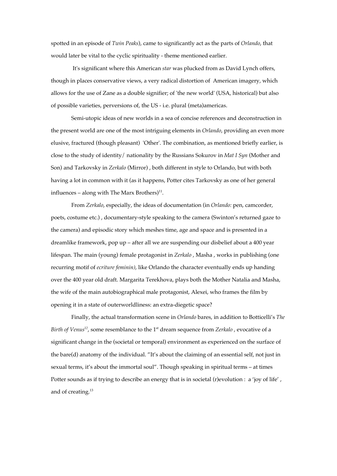spotted in an episode of *Twin Peaks*), came to significantly act as the parts of *Orlando*, that would later be vital to the cyclic spirituality - theme mentioned earlier.

 It's significant where this American *star* was plucked from as David Lynch offers, though in places conservative views, a very radical distortion of American imagery, which allows for the use of Zane as a double signifier; of 'the new world' (USA, historical) but also of possible varieties, perversions of, the US - i.e. plural (meta)americas.

Semi-utopic ideas of new worlds in a sea of concise references and deconstruction in the present world are one of the most intriguing elements in *Orlando*, providing an even more elusive, fractured (though pleasant) 'Other'. The combination, as mentioned briefly earlier, is close to the study of identity/ nationality by the Russians Sokurov in *Mat I Syn* (Mother and Son) and Tarkovsky in *Zerkalo* (Mirror) , both different in style to Orlando, but with both having a lot in common with it (as it happens, Potter cites Tarkovsky as one of her general influences – along with The Marx Brothers) $^{11}$ .

From *Zerkalo*, especially, the ideas of documentation (in *Orlando:* pen, camcorder, poets, costume etc.) , documentary-style speaking to the camera (Swinton's returned gaze to the camera) and episodic story which meshes time, age and space and is presented in a dreamlike framework, pop up – after all we are suspending our disbelief about a 400 year lifespan. The main (young) female protagonist in *Zerkalo* , Masha , works in publishing (one recurring motif of *ecriture feminin)*, like Orlando the character eventually ends up handing over the 400 year old draft. Margarita Terekhova, plays both the Mother Natalia and Masha, the wife of the main autobiographical male protagonist, Alexei, who frames the film by opening it in a state of outerworldliness: an extra-diegetic space?

Finally, the actual transformation scene in *Orlando* bares, in addition to Botticelli's *The* Birth of Venus<sup>12</sup>, some resemblance to the 1<sup>st</sup> dream sequence from *Zerkalo*, evocative of a significant change in the (societal or temporal) environment as experienced on the surface of the bare(d) anatomy of the individual. "It's about the claiming of an essential self, not just in sexual terms, it's about the immortal soul". Though speaking in spiritual terms – at times Potter sounds as if trying to describe an energy that is in societal (r)evolution : a 'joy of life', and of creating.<sup>13</sup>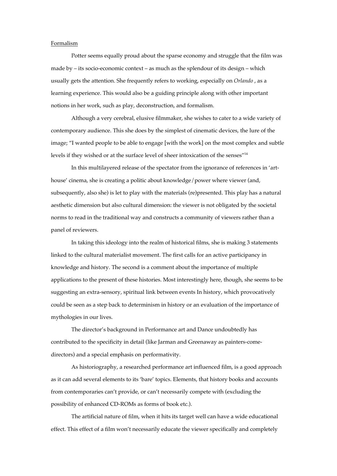## Formalism

Potter seems equally proud about the sparse economy and struggle that the film was made by – its socio-economic context – as much as the splendour of its design – which usually gets the attention. She frequently refers to working, especially on *Orlando* , as a learning experience. This would also be a guiding principle along with other important notions in her work, such as play, deconstruction, and formalism.

Although a very cerebral, elusive filmmaker, she wishes to cater to a wide variety of contemporary audience. This she does by the simplest of cinematic devices, the lure of the image; "I wanted people to be able to engage [with the work] on the most complex and subtle levels if they wished or at the surface level of sheer intoxication of the senses"14

In this multilayered release of the spectator from the ignorance of references in 'arthouse' cinema, she is creating a politic about knowledge/power where viewer (and, subsequently, also she) is let to play with the materials (re)presented. This play has a natural aesthetic dimension but also cultural dimension: the viewer is not obligated by the societal norms to read in the traditional way and constructs a community of viewers rather than a panel of reviewers.

In taking this ideology into the realm of historical films, she is making 3 statements linked to the cultural materialist movement. The first calls for an active participancy in knowledge and history. The second is a comment about the importance of multiple applications to the present of these histories. Most interestingly here, though, she seems to be suggesting an extra-sensory, spiritual link between events In history, which provocatively could be seen as a step back to determinism in history or an evaluation of the importance of mythologies in our lives.

The director's background in Performance art and Dance undoubtedly has contributed to the specificity in detail (like Jarman and Greenaway as painters-comedirectors) and a special emphasis on performativity.

As historiography, a researched performance art influenced film, is a good approach as it can add several elements to its 'bare' topics. Elements, that history books and accounts from contemporaries can't provide, or can't necessarily compete with (excluding the possibility of enhanced CD-ROMs as forms of book etc.).

The artificial nature of film, when it hits its target well can have a wide educational effect. This effect of a film won't necessarily educate the viewer specifically and completely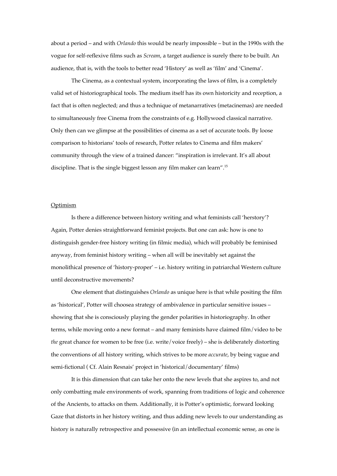about a period – and with *Orlando* this would be nearly impossible – but in the 1990s with the vogue for self-reflexive films such as *Scream*, a target audience is surely there to be built. An audience, that is, with the tools to better read 'History' as well as 'film' and 'Cinema'.

The Cinema, as a contextual system, incorporating the laws of film, is a completely valid set of historiographical tools. The medium itself has its own historicity and reception, a fact that is often neglected; and thus a technique of metanarratives (metacinemas) are needed to simultaneously free Cinema from the constraints of e.g. Hollywood classical narrative. Only then can we glimpse at the possibilities of cinema as a set of accurate tools. By loose comparison to historians' tools of research, Potter relates to Cinema and film makers' community through the view of a trained dancer: "inspiration is irrelevant. It's all about discipline. That is the single biggest lesson any film maker can learn".15

#### **Optimism**

Is there a difference between history writing and what feminists call 'herstory'? Again, Potter denies straightforward feminist projects. But one can ask: how is one to distinguish gender-free history writing (in filmic media), which will probably be feminised anyway, from feminist history writing – when all will be inevitably set against the monolithical presence of 'history-proper' – i.e. history writing in patriarchal Western culture until deconstructive movements?

One element that distinguishes *Orlando* as unique here is that while positing the film as 'historical', Potter will choosea strategy of ambivalence in particular sensitive issues – showing that she is consciously playing the gender polarities in historiography. In other terms, while moving onto a new format – and many feminists have claimed film/video to be *the* great chance for women to be free (i.e. write/voice freely) – she is deliberately distorting the conventions of all history writing, which strives to be more *accurate*, by being vague and semi-fictional ( Cf. Alain Resnais' project in 'historical/documentary' films)

It is this dimension that can take her onto the new levels that she aspires to, and not only combatting male environments of work, spanning from traditions of logic and coherence of the Ancients, to attacks on them. Additionally, it is Potter's optimistic, forward looking Gaze that distorts in her history writing, and thus adding new levels to our understanding as history is naturally retrospective and possessive (in an intellectual economic sense, as one is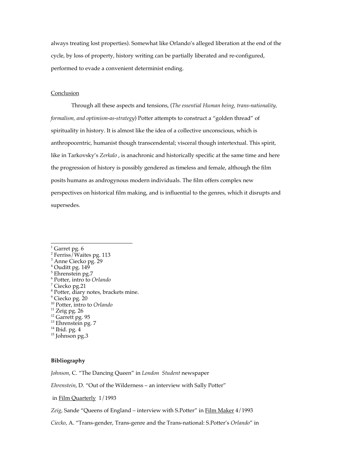always treating lost properties). Somewhat like Orlando's alleged liberation at the end of the cycle, by loss of property, history writing can be partially liberated and re-configured, performed to evade a convenient determinist ending.

## Conclusion

Through all these aspects and tensions, (*The essential Human being, trans-nationality, formalism, and optimism-as-strategy*) Potter attempts to construct a "golden thread" of spirituality in history. It is almost like the idea of a collective unconscious, which is anthropocentric, humanist though transcendental; visceral though intertextual. This spirit, like in Tarkovsky's *Zerkalo* , is anachronic and historically specific at the same time and here the progression of history is possibly gendered as timeless and female, although the film posits humans as androgynous modern individuals. The film offers complex new perspectives on historical film making, and is influential to the genres, which it disrupts and supersedes.

 $4$  Ouditt pg. 149

<sup>7</sup> Ciecko pg.21

- 9 Ciecko pg. 20
- 10 Potter, intro to *Orlando*
- $11$  Zeig pg. 26
- $\frac{12}{13}$  Garrett pg. 95 <sup>13</sup> Ehrenstein pg. 7
- 
- 14 Ibid. pg. 4
- 15 Johnson pg.3

# **Bibliography**

*Johnson*, C. "The Dancing Queen" in *London Student* newspaper

*Ehrenstein*, D. "Out of the Wilderness – an interview with Sally Potter"

in Film Quarterly 1/1993

*Zeig*, Sande "Queens of England – interview with S.Potter" in Film Maker 4/1993

*Ciecko*, A. "Trans-gender, Trans-genre and the Trans-national: S.Potter's *Orlando*" in

 $\frac{1}{1}$  $1$  Garret pg. 6

<sup>2</sup> Ferriss/Waites pg. 113

<sup>&</sup>lt;sup>3</sup> Anne Ciecko pg. 29<br><sup>4</sup> Ouditt pg. 149

<sup>5</sup> Ehrenstein pg.7

<sup>6</sup> Potter, intro to *Orlando* <sup>7</sup>

<sup>8</sup> Potter, diary notes, brackets mine.